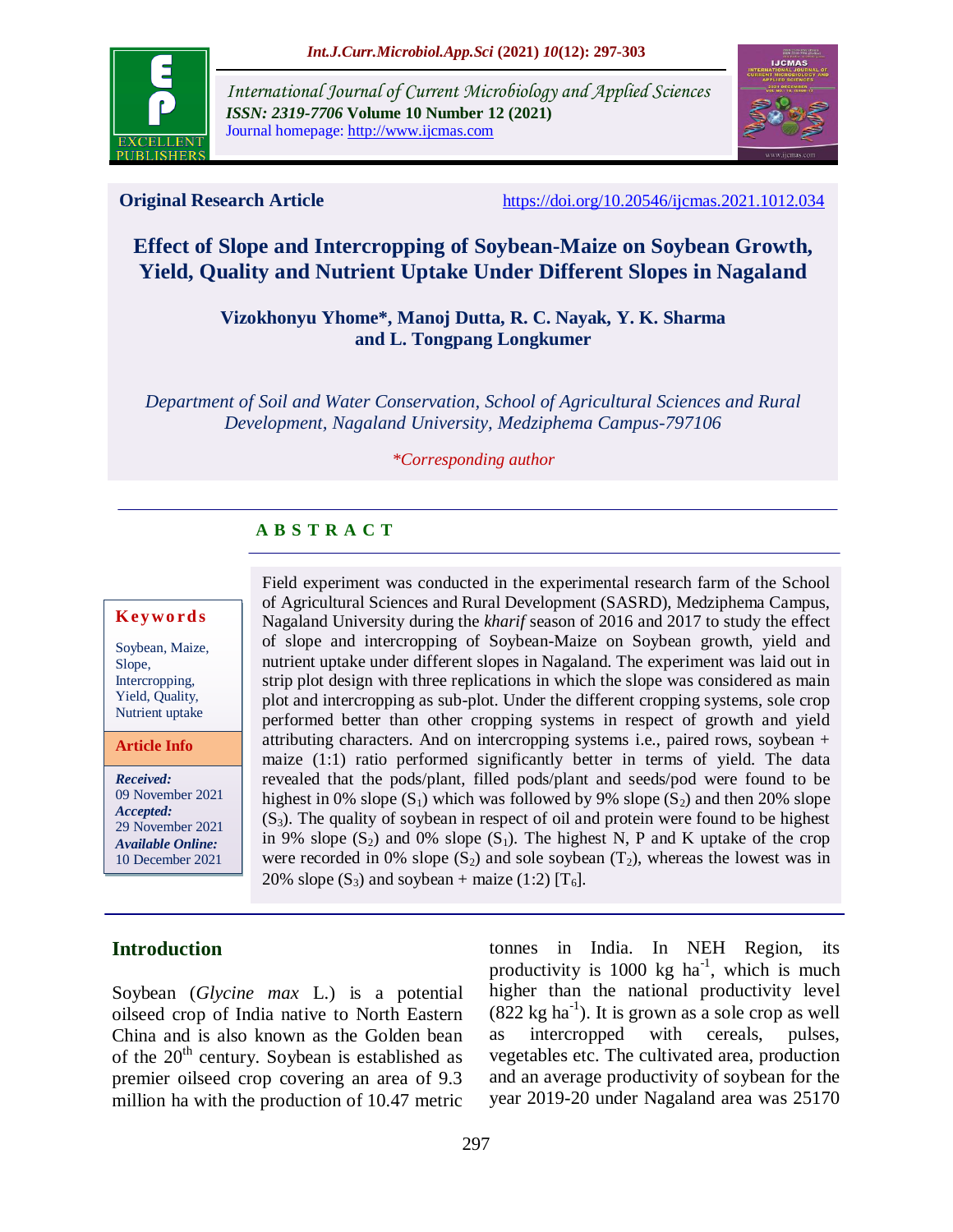

*International Journal of Current Microbiology and Applied Sciences ISSN: 2319-7706* **Volume 10 Number 12 (2021)**  Journal homepage: http://www.ijcmas.com



**Original Research Article** <https://doi.org/10.20546/ijcmas.2021.1012.034>

# **Effect of Slope and Intercropping of Soybean-Maize on Soybean Growth, Yield, Quality and Nutrient Uptake Under Different Slopes in Nagaland**

**Vizokhonyu Yhome\*, Manoj Dutta, R. C. Nayak, Y. K. Sharma and L. Tongpang Longkumer**

*Department of Soil and Water Conservation, School of Agricultural Sciences and Rural Development, Nagaland University, Medziphema Campus-797106*

#### *\*Corresponding author*

# **A B S T R A C T**

#### **K ey w o rd s**

Soybean, Maize, Slope, Intercropping, Yield, Quality, Nutrient uptake

**Article Info**

*Received:*  09 November 2021 *Accepted:*  29 November 2021 *Available Online:* 10 December 2021

Field experiment was conducted in the experimental research farm of the School of Agricultural Sciences and Rural Development (SASRD), Medziphema Campus, Nagaland University during the *kharif* season of 2016 and 2017 to study the effect of slope and intercropping of Soybean-Maize on Soybean growth, yield and nutrient uptake under different slopes in Nagaland. The experiment was laid out in strip plot design with three replications in which the slope was considered as main plot and intercropping as sub-plot. Under the different cropping systems, sole crop performed better than other cropping systems in respect of growth and yield attributing characters. And on intercropping systems i.e., paired rows, soybean + maize (1:1) ratio performed significantly better in terms of yield. The data revealed that the pods/plant, filled pods/plant and seeds/pod were found to be highest in 0% slope  $(S_1)$  which was followed by 9% slope  $(S_2)$  and then 20% slope  $(S_3)$ . The quality of soybean in respect of oil and protein were found to be highest in 9% slope  $(S_2)$  and 0% slope  $(S_1)$ . The highest N, P and K uptake of the crop were recorded in 0% slope  $(S_2)$  and sole soybean  $(T_2)$ , whereas the lowest was in 20% slope  $(S_3)$  and soybean + maize (1:2)  $[T_6]$ .

## **Introduction**

Soybean (*Glycine max* L.) is a potential oilseed crop of India native to North Eastern China and is also known as the Golden bean of the  $20<sup>th</sup>$  century. Soybean is established as premier oilseed crop covering an area of 9.3 million ha with the production of 10.47 metric tonnes in India. In NEH Region, its productivity is  $1000 \text{ kg } \text{ha}^{-1}$ , which is much higher than the national productivity level  $(822 \text{ kg ha}^{-1})$ . It is grown as a sole crop as well as intercropped with cereals, pulses, vegetables etc. The cultivated area, production and an average productivity of soybean for the year 2019-20 under Nagaland area was 25170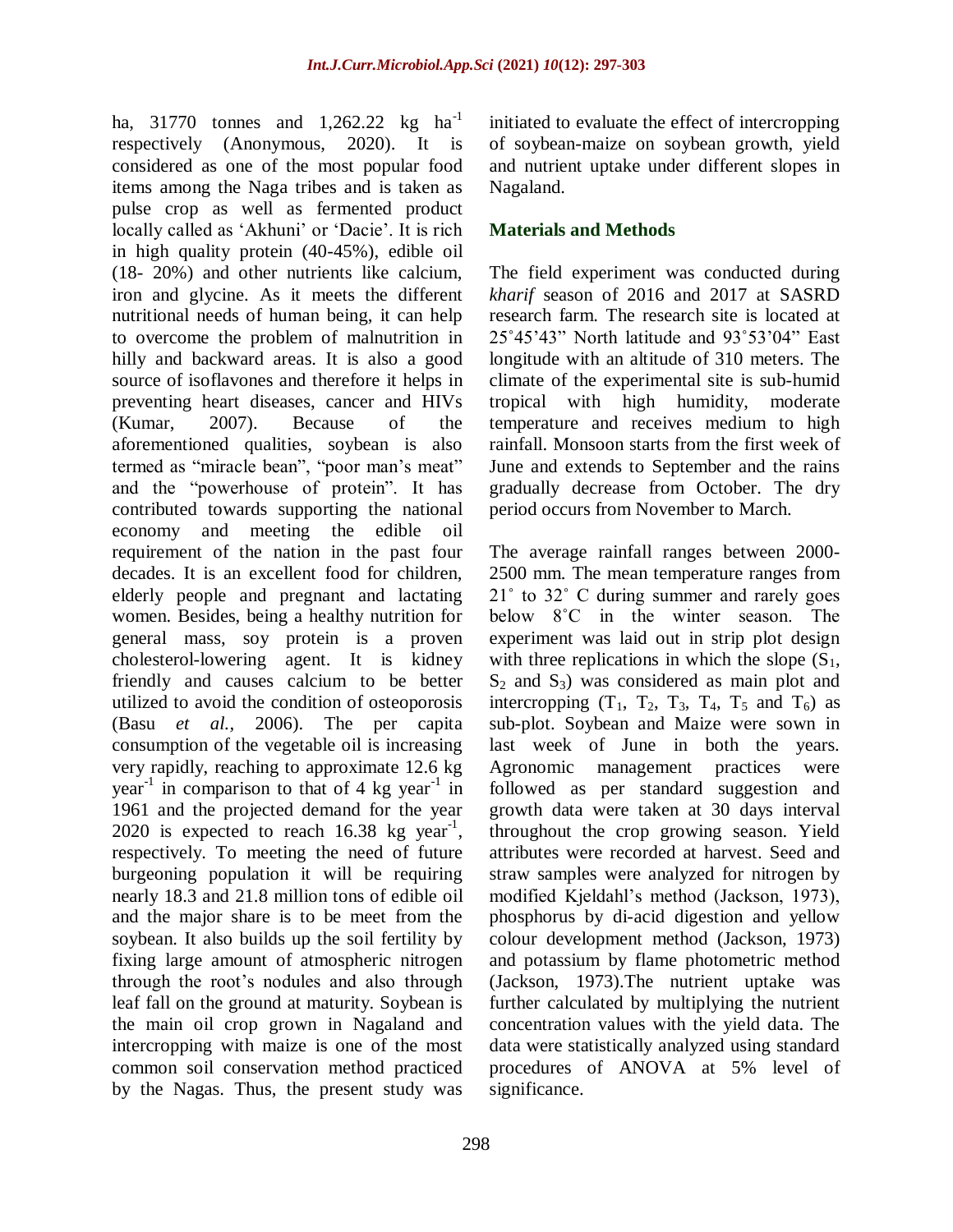ha, 31770 tonnes and 1,262.22 kg  $ha^{-1}$ respectively (Anonymous, 2020). It is considered as one of the most popular food items among the Naga tribes and is taken as pulse crop as well as fermented product locally called as 'Akhuni' or 'Dacie'. It is rich in high quality protein (40-45%), edible oil (18- 20%) and other nutrients like calcium, iron and glycine. As it meets the different nutritional needs of human being, it can help to overcome the problem of malnutrition in hilly and backward areas. It is also a good source of isoflavones and therefore it helps in preventing heart diseases, cancer and HIVs (Kumar, 2007). Because of the aforementioned qualities, soybean is also termed as "miracle bean", "poor man"s meat" and the "powerhouse of protein". It has contributed towards supporting the national economy and meeting the edible oil requirement of the nation in the past four decades. It is an excellent food for children, elderly people and pregnant and lactating women. Besides, being a healthy nutrition for general mass, soy protein is a proven cholesterol-lowering agent. It is kidney friendly and causes calcium to be better utilized to avoid the condition of osteoporosis (Basu *et al.,* 2006). The per capita consumption of the vegetable oil is increasing very rapidly, reaching to approximate 12.6 kg year<sup>-1</sup> in comparison to that of 4 kg year<sup>-1</sup> in 1961 and the projected demand for the year 2020 is expected to reach  $16.38 \text{ kg year}^{-1}$ , respectively. To meeting the need of future burgeoning population it will be requiring nearly 18.3 and 21.8 million tons of edible oil and the major share is to be meet from the soybean. It also builds up the soil fertility by fixing large amount of atmospheric nitrogen through the root"s nodules and also through leaf fall on the ground at maturity. Soybean is the main oil crop grown in Nagaland and intercropping with maize is one of the most common soil conservation method practiced by the Nagas. Thus, the present study was

initiated to evaluate the effect of intercropping of soybean-maize on soybean growth, yield and nutrient uptake under different slopes in Nagaland.

## **Materials and Methods**

The field experiment was conducted during *kharif* season of 2016 and 2017 at SASRD research farm. The research site is located at 25˚45"43" North latitude and 93˚53"04" East longitude with an altitude of 310 meters. The climate of the experimental site is sub-humid tropical with high humidity, moderate temperature and receives medium to high rainfall. Monsoon starts from the first week of June and extends to September and the rains gradually decrease from October. The dry period occurs from November to March.

The average rainfall ranges between 2000- 2500 mm. The mean temperature ranges from 21˚ to 32˚ C during summer and rarely goes below 8°C in the winter season. The experiment was laid out in strip plot design with three replications in which the slope  $(S_1,$  $S_2$  and  $S_3$ ) was considered as main plot and intercropping  $(T_1, T_2, T_3, T_4, T_5 \text{ and } T_6)$  as sub-plot. Soybean and Maize were sown in last week of June in both the years. Agronomic management practices were followed as per standard suggestion and growth data were taken at 30 days interval throughout the crop growing season. Yield attributes were recorded at harvest. Seed and straw samples were analyzed for nitrogen by modified Kjeldahl"s method (Jackson, 1973), phosphorus by di-acid digestion and yellow colour development method (Jackson, 1973) and potassium by flame photometric method (Jackson, 1973).The nutrient uptake was further calculated by multiplying the nutrient concentration values with the yield data. The data were statistically analyzed using standard procedures of ANOVA at 5% level of significance.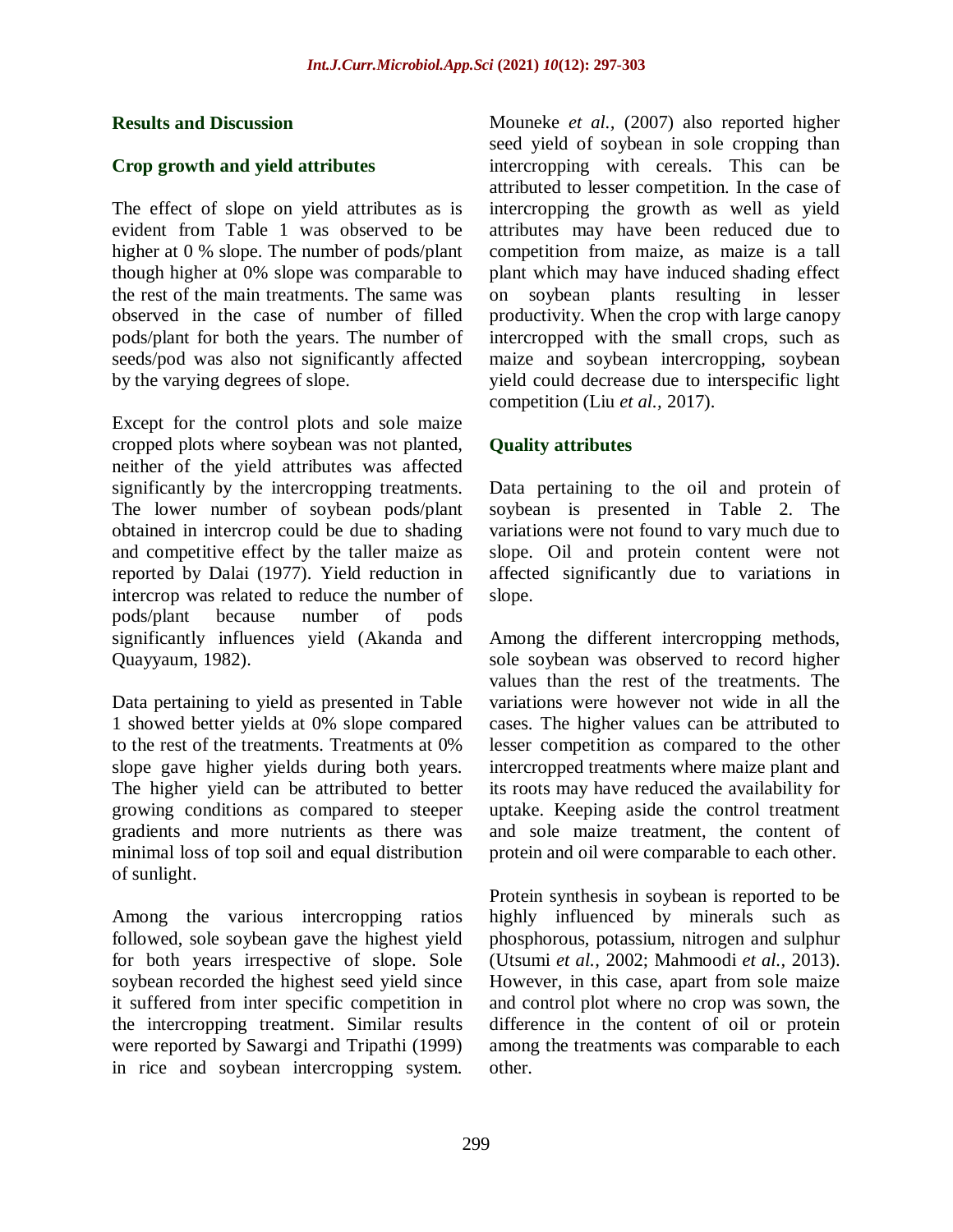#### **Results and Discussion**

### **Crop growth and yield attributes**

The effect of slope on yield attributes as is evident from Table 1 was observed to be higher at 0 % slope. The number of pods/plant though higher at 0% slope was comparable to the rest of the main treatments. The same was observed in the case of number of filled pods/plant for both the years. The number of seeds/pod was also not significantly affected by the varying degrees of slope.

Except for the control plots and sole maize cropped plots where soybean was not planted, neither of the yield attributes was affected significantly by the intercropping treatments. The lower number of soybean pods/plant obtained in intercrop could be due to shading and competitive effect by the taller maize as reported by Dalai (1977). Yield reduction in intercrop was related to reduce the number of pods/plant because number of pods significantly influences yield (Akanda and Quayyaum, 1982).

Data pertaining to yield as presented in Table 1 showed better yields at 0% slope compared to the rest of the treatments. Treatments at 0% slope gave higher yields during both years. The higher yield can be attributed to better growing conditions as compared to steeper gradients and more nutrients as there was minimal loss of top soil and equal distribution of sunlight.

Among the various intercropping ratios followed, sole soybean gave the highest yield for both years irrespective of slope. Sole soybean recorded the highest seed yield since it suffered from inter specific competition in the intercropping treatment. Similar results were reported by Sawargi and Tripathi (1999) in rice and soybean intercropping system.

Mouneke *et al.,* (2007) also reported higher seed yield of soybean in sole cropping than intercropping with cereals. This can be attributed to lesser competition. In the case of intercropping the growth as well as yield attributes may have been reduced due to competition from maize, as maize is a tall plant which may have induced shading effect on soybean plants resulting in lesser productivity. When the crop with large canopy intercropped with the small crops, such as maize and soybean intercropping, soybean yield could decrease due to interspecific light competition (Liu *et al.,* 2017).

# **Quality attributes**

Data pertaining to the oil and protein of soybean is presented in Table 2. The variations were not found to vary much due to slope. Oil and protein content were not affected significantly due to variations in slope.

Among the different intercropping methods, sole soybean was observed to record higher values than the rest of the treatments. The variations were however not wide in all the cases. The higher values can be attributed to lesser competition as compared to the other intercropped treatments where maize plant and its roots may have reduced the availability for uptake. Keeping aside the control treatment and sole maize treatment, the content of protein and oil were comparable to each other.

Protein synthesis in soybean is reported to be highly influenced by minerals such as phosphorous, potassium, nitrogen and sulphur (Utsumi *et al.,* 2002; Mahmoodi *et al.,* 2013). However, in this case, apart from sole maize and control plot where no crop was sown, the difference in the content of oil or protein among the treatments was comparable to each other.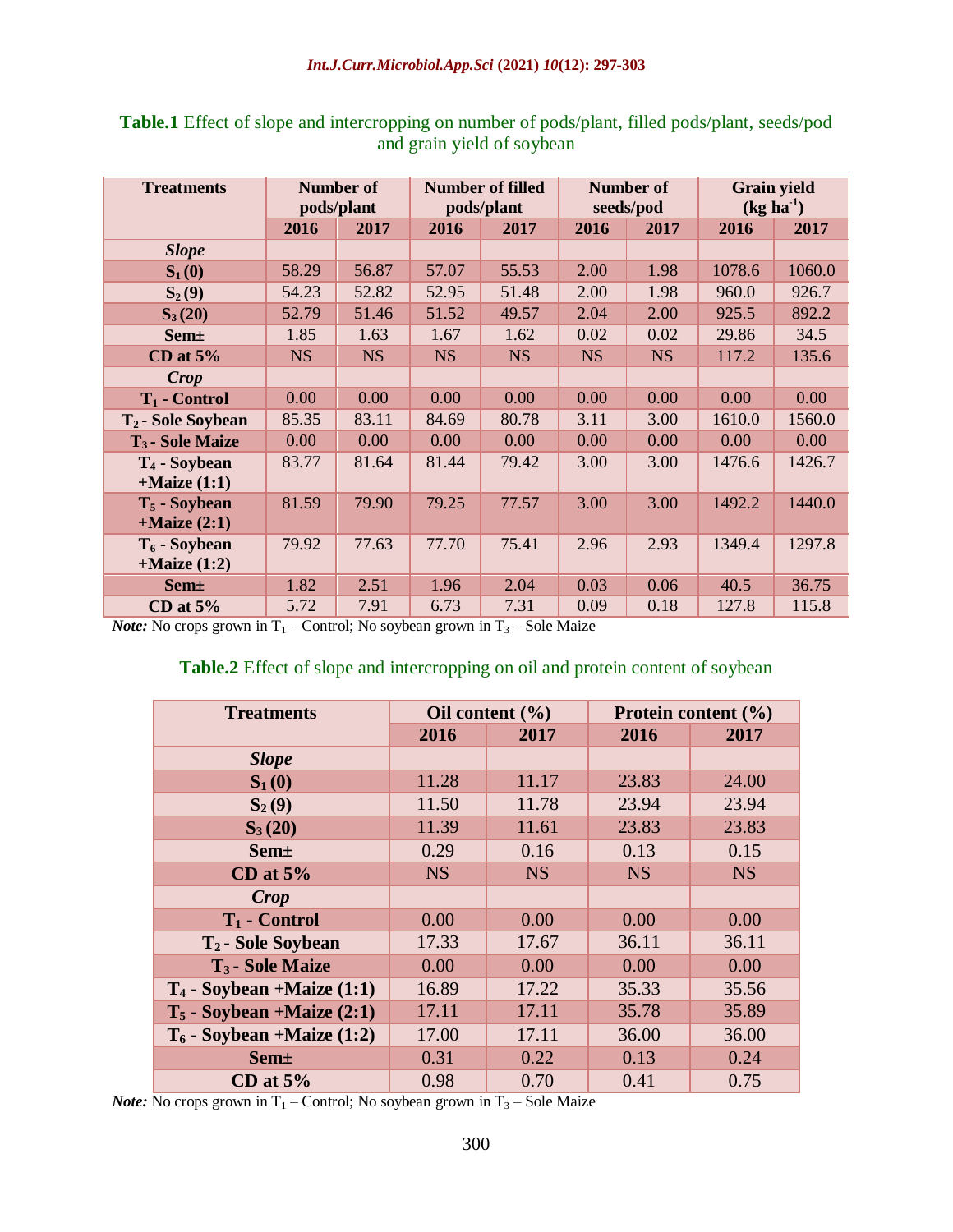| <b>Treatments</b>                             | <b>Number of</b><br>pods/plant |           | <b>Number of filled</b><br>pods/plant |           | <b>Number of</b><br>seeds/pod |           | <b>Grain yield</b><br>$(kg ha-1)$ |        |
|-----------------------------------------------|--------------------------------|-----------|---------------------------------------|-----------|-------------------------------|-----------|-----------------------------------|--------|
|                                               | 2016                           | 2017      | 2016                                  | 2017      | 2016                          | 2017      | 2016                              | 2017   |
| <b>Slope</b>                                  |                                |           |                                       |           |                               |           |                                   |        |
| $S_1(0)$                                      | 58.29                          | 56.87     | 57.07                                 | 55.53     | 2.00                          | 1.98      | 1078.6                            | 1060.0 |
| $S_2(9)$                                      | 54.23                          | 52.82     | 52.95                                 | 51.48     | 2.00                          | 1.98      | 960.0                             | 926.7  |
| $S_3(20)$                                     | 52.79                          | 51.46     | 51.52                                 | 49.57     | 2.04                          | 2.00      | 925.5                             | 892.2  |
| <b>Sem</b> ±                                  | 1.85                           | 1.63      | 1.67                                  | 1.62      | 0.02                          | 0.02      | 29.86                             | 34.5   |
| CD at $5%$                                    | <b>NS</b>                      | <b>NS</b> | <b>NS</b>                             | <b>NS</b> | <b>NS</b>                     | <b>NS</b> | 117.2                             | 135.6  |
| Crop                                          |                                |           |                                       |           |                               |           |                                   |        |
| $T_1$ - Control                               | 0.00                           | 0.00      | 0.00                                  | 0.00      | 0.00                          | 0.00      | 0.00                              | 0.00   |
| T <sub>2</sub> - Sole Soybean                 | 85.35                          | 83.11     | 84.69                                 | 80.78     | 3.11                          | 3.00      | 1610.0                            | 1560.0 |
| T <sub>3</sub> - Sole Maize                   | 0.00                           | 0.00      | 0.00                                  | 0.00      | 0.00                          | 0.00      | 0.00                              | 0.00   |
| T <sub>4</sub> - Soybean<br>$+$ Maize $(1:1)$ | 83.77                          | 81.64     | 81.44                                 | 79.42     | 3.00                          | 3.00      | 1476.6                            | 1426.7 |
| $T_5$ - Soybean<br>$+$ Maize $(2:1)$          | 81.59                          | 79.90     | 79.25                                 | 77.57     | 3.00                          | 3.00      | 1492.2                            | 1440.0 |
| $T_6$ - Soybean<br>$+$ Maize $(1:2)$          | 79.92                          | 77.63     | 77.70                                 | 75.41     | 2.96                          | 2.93      | 1349.4                            | 1297.8 |
| <b>Sem</b> <sup>+</sup>                       | 1.82                           | 2.51      | 1.96                                  | 2.04      | 0.03                          | 0.06      | 40.5                              | 36.75  |
| CD at $5%$                                    | 5.72                           | 7.91      | 6.73                                  | 7.31      | 0.09                          | 0.18      | 127.8                             | 115.8  |

**Table.1** Effect of slope and intercropping on number of pods/plant, filled pods/plant, seeds/pod and grain yield of soybean

*Note:* No crops grown in  $T_1$  – Control; No soybean grown in  $T_3$  – Sole Maize

#### **Table.2** Effect of slope and intercropping on oil and protein content of soybean

| <b>Treatments</b>              |           | Oil content $(\% )$ | Protein content (%) |           |  |
|--------------------------------|-----------|---------------------|---------------------|-----------|--|
|                                | 2016      | 2017                | 2016                | 2017      |  |
| <b>Slope</b>                   |           |                     |                     |           |  |
| $S_1(0)$                       | 11.28     | 11.17               | 23.83               | 24.00     |  |
| $S_2(9)$                       | 11.50     | 11.78               | 23.94               | 23.94     |  |
| $S_3(20)$                      | 11.39     | 11.61               | 23.83               | 23.83     |  |
| <b>Sem</b> ±                   | 0.29      | 0.16                | 0.13                | 0.15      |  |
| CD at $5%$                     | <b>NS</b> | <b>NS</b>           | <b>NS</b>           | <b>NS</b> |  |
| <b>Crop</b>                    |           |                     |                     |           |  |
| $T_1$ - Control                | 0.00      | 0.00                | 0.00                | 0.00      |  |
| T <sub>2</sub> - Sole Soybean  | 17.33     | 17.67               | 36.11               | 36.11     |  |
| T <sub>3</sub> - Sole Maize    | 0.00      | 0.00                | 0.00                | 0.00      |  |
| $T_4$ - Soybean +Maize $(1:1)$ | 16.89     | 17.22               | 35.33               | 35.56     |  |
| $T_5$ - Soybean +Maize (2:1)   | 17.11     | 17.11               | 35.78               | 35.89     |  |
| $T_6$ - Soybean +Maize (1:2)   | 17.00     | 17.11               | 36.00               | 36.00     |  |
| <b>Sem</b> <sup>+</sup>        | 0.31      | 0.22                | 0.13                | 0.24      |  |
| CD at $5%$                     | 0.98      | 0.70                | 0.41                | 0.75      |  |

*Note:* No crops grown in  $T_1$  – Control; No soybean grown in  $T_3$  – Sole Maize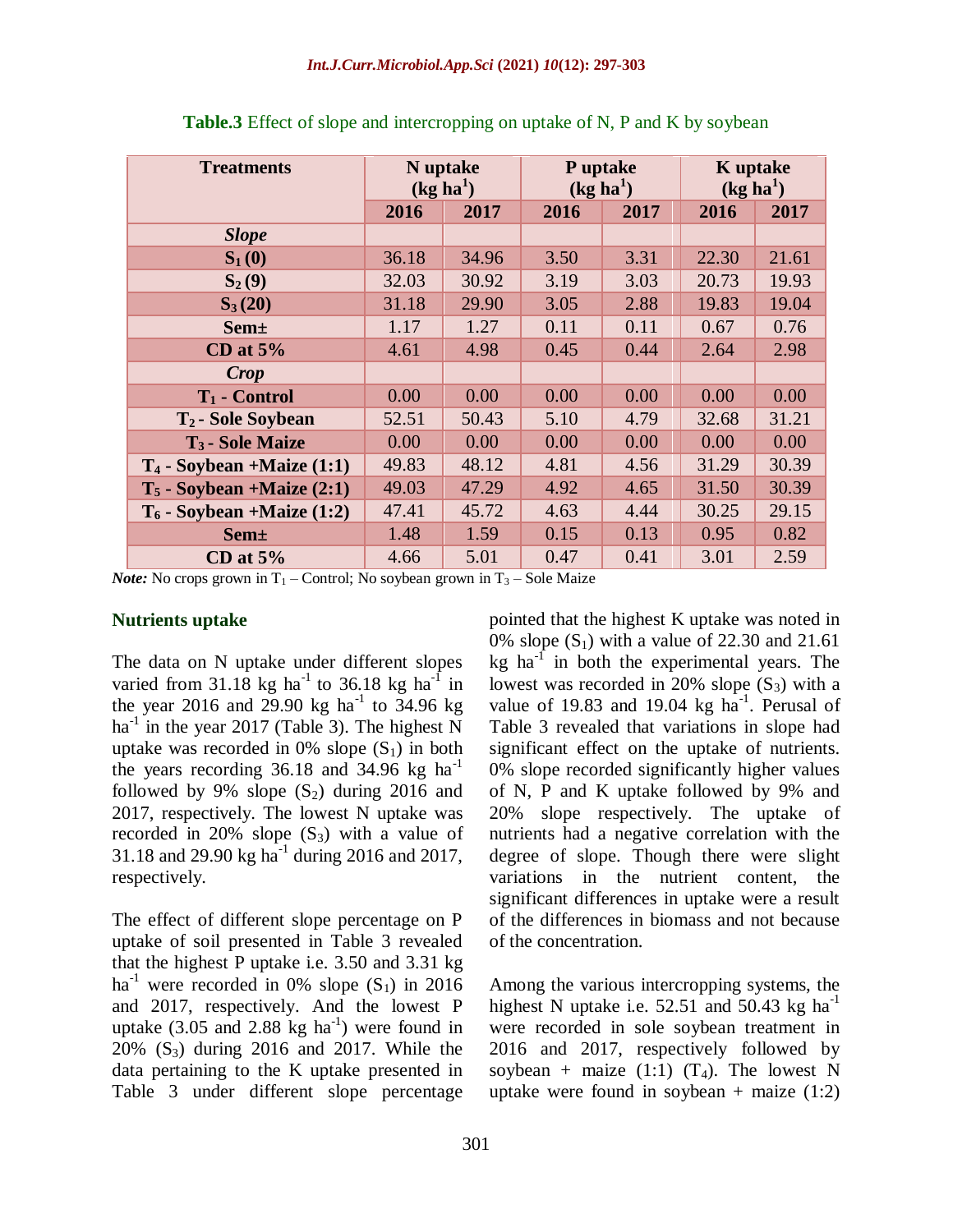| <b>Treatments</b>              | N uptake<br>(kg ha <sup>1</sup> ) |       | P uptake<br>(kg ha <sup>1</sup> ) |      | <b>K</b> uptake<br>(kg ha <sup>1</sup> ) |       |
|--------------------------------|-----------------------------------|-------|-----------------------------------|------|------------------------------------------|-------|
|                                | 2016                              | 2017  | 2016                              | 2017 | 2016                                     | 2017  |
| <b>Slope</b>                   |                                   |       |                                   |      |                                          |       |
| $S_1(0)$                       | 36.18                             | 34.96 | 3.50                              | 3.31 | 22.30                                    | 21.61 |
| $S_2(9)$                       | 32.03                             | 30.92 | 3.19                              | 3.03 | 20.73                                    | 19.93 |
| $S_3(20)$                      | 31.18                             | 29.90 | 3.05                              | 2.88 | 19.83                                    | 19.04 |
| <b>Sem</b> ±                   | 1.17                              | 1.27  | 0.11                              | 0.11 | 0.67                                     | 0.76  |
| CD at $5%$                     | 4.61                              | 4.98  | 0.45                              | 0.44 | 2.64                                     | 2.98  |
| Crop                           |                                   |       |                                   |      |                                          |       |
| $T_1$ - Control                | 0.00                              | 0.00  | 0.00                              | 0.00 | 0.00                                     | 0.00  |
| T <sub>2</sub> - Sole Soybean  | 52.51                             | 50.43 | 5.10                              | 4.79 | 32.68                                    | 31.21 |
| T <sub>3</sub> - Sole Maize    | 0.00                              | 0.00  | 0.00                              | 0.00 | 0.00                                     | 0.00  |
| $T_4$ - Soybean +Maize $(1:1)$ | 49.83                             | 48.12 | 4.81                              | 4.56 | 31.29                                    | 30.39 |
| $T_5$ - Soybean +Maize $(2:1)$ | 49.03                             | 47.29 | 4.92                              | 4.65 | 31.50                                    | 30.39 |
| $T_6$ - Soybean +Maize (1:2)   | 47.41                             | 45.72 | 4.63                              | 4.44 | 30.25                                    | 29.15 |
| $Sem\pm$                       | 1.48                              | 1.59  | 0.15                              | 0.13 | 0.95                                     | 0.82  |
| CD at $5\%$                    | 4.66                              | 5.01  | 0.47                              | 0.41 | 3.01                                     | 2.59  |

**Table.3** Effect of slope and intercropping on uptake of N, P and K by soybean

*Note:* No crops grown in  $T_1$  – Control; No soybean grown in  $T_3$  – Sole Maize

#### **Nutrients uptake**

The data on N uptake under different slopes varied from  $31.18$  kg ha<sup>-1</sup> to  $36.18$  kg ha<sup>-1</sup> in the year 2016 and 29.90 kg ha<sup>-1</sup> to 34.96 kg ha<sup>-1</sup> in the year 2017 (Table 3). The highest N uptake was recorded in 0% slope  $(S_1)$  in both the years recording  $36.18$  and  $34.96$  kg ha<sup>-1</sup> followed by 9% slope  $(S_2)$  during 2016 and 2017, respectively. The lowest N uptake was recorded in 20% slope  $(S_3)$  with a value of 31.18 and 29.90 kg ha<sup>-1</sup> during 2016 and 2017, respectively.

The effect of different slope percentage on P uptake of soil presented in Table 3 revealed that the highest P uptake i.e. 3.50 and 3.31 kg ha<sup>-1</sup> were recorded in 0% slope  $(S_1)$  in 2016 and 2017, respectively. And the lowest P uptake  $(3.05 \text{ and } 2.88 \text{ kg ha}^{-1})$  were found in 20% (S3) during 2016 and 2017. While the data pertaining to the K uptake presented in Table 3 under different slope percentage

pointed that the highest K uptake was noted in 0% slope  $(S_1)$  with a value of 22.30 and 21.61 kg ha $^{-1}$  in both the experimental years. The lowest was recorded in 20% slope  $(S_3)$  with a value of 19.83 and 19.04 kg  $ha^{-1}$ . Perusal of Table 3 revealed that variations in slope had significant effect on the uptake of nutrients. 0% slope recorded significantly higher values of N, P and K uptake followed by 9% and 20% slope respectively. The uptake of nutrients had a negative correlation with the degree of slope. Though there were slight variations in the nutrient content, the significant differences in uptake were a result of the differences in biomass and not because of the concentration.

Among the various intercropping systems, the highest N uptake i.e.  $52.51$  and  $50.43$  kg ha<sup>-1</sup> were recorded in sole soybean treatment in 2016 and 2017, respectively followed by soybean + maize (1:1)  $(T_4)$ . The lowest N uptake were found in soybean + maize  $(1:2)$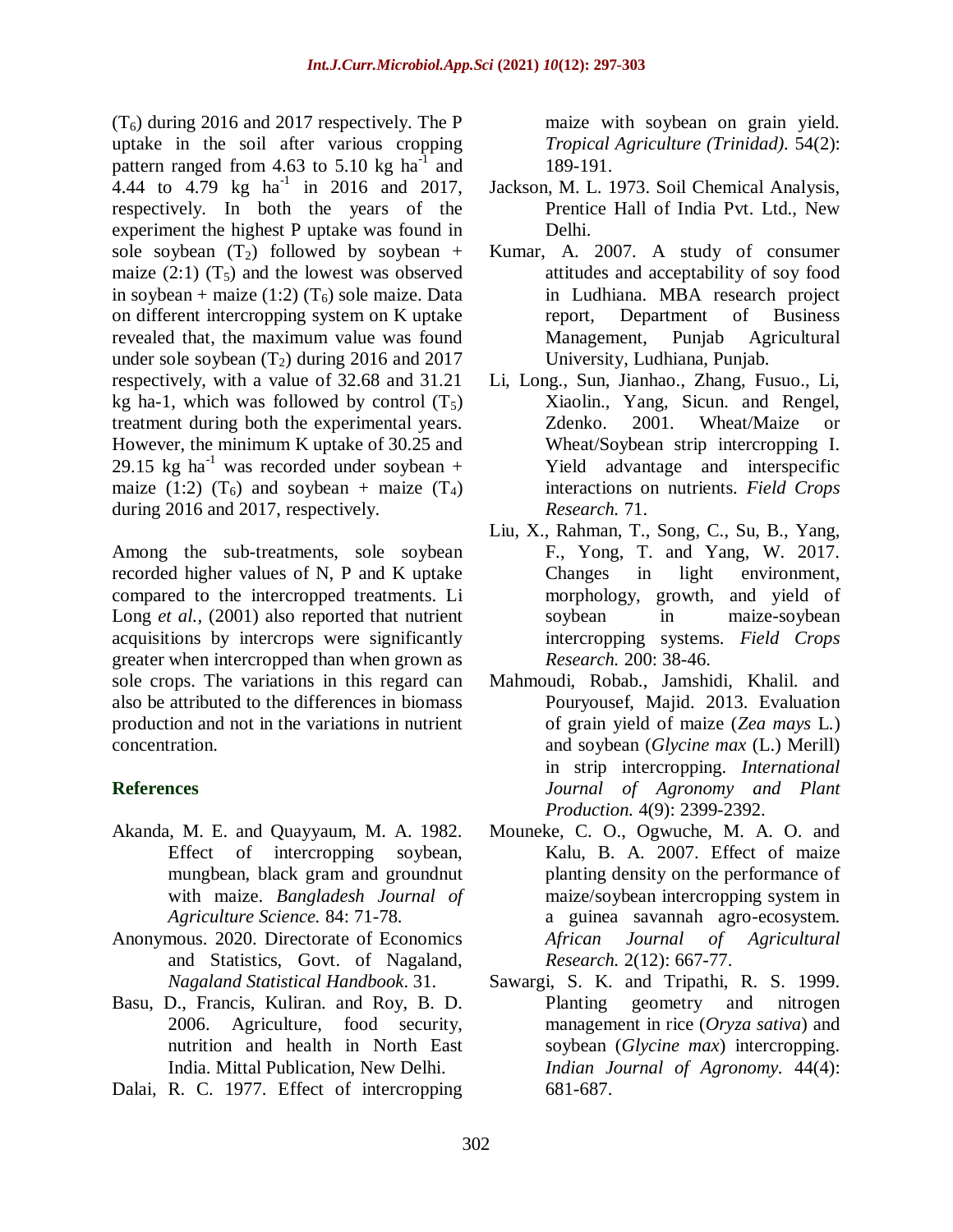$(T_6)$  during 2016 and 2017 respectively. The P uptake in the soil after various cropping pattern ranged from 4.63 to 5.10 kg  $ha^{-1}$  and 4.44 to 4.79 kg  $\text{ha}^{-1}$  in 2016 and 2017, respectively. In both the years of the experiment the highest P uptake was found in sole soybean  $(T_2)$  followed by soybean + maize  $(2:1)$   $(T_5)$  and the lowest was observed in soybean + maize (1:2)  $(T_6)$  sole maize. Data on different intercropping system on K uptake revealed that, the maximum value was found under sole soybean  $(T_2)$  during 2016 and 2017 respectively, with a value of 32.68 and 31.21 kg ha-1, which was followed by control  $(T_5)$ treatment during both the experimental years. However, the minimum K uptake of 30.25 and 29.15 kg ha<sup>-1</sup> was recorded under soybean + maize (1:2)  $(T_6)$  and soybean + maize  $(T_4)$ during 2016 and 2017, respectively.

Among the sub-treatments, sole soybean recorded higher values of N, P and K uptake compared to the intercropped treatments. Li Long *et al.*, (2001) also reported that nutrient acquisitions by intercrops were significantly greater when intercropped than when grown as sole crops. The variations in this regard can also be attributed to the differences in biomass production and not in the variations in nutrient concentration.

# **References**

- Akanda, M. E. and Quayyaum, M. A. 1982. Effect of intercropping soybean, mungbean, black gram and groundnut with maize. *Bangladesh Journal of Agriculture Science.* 84: 71-78.
- Anonymous. 2020. Directorate of Economics and Statistics, Govt. of Nagaland, *Nagaland Statistical Handbook*. 31.
- Basu, D., Francis, Kuliran. and Roy, B. D. 2006. Agriculture, food security, nutrition and health in North East India. Mittal Publication, New Delhi.
- Dalai, R. C. 1977. Effect of intercropping

maize with soybean on grain yield. *Tropical Agriculture (Trinidad).* 54(2): 189-191.

- Jackson, M. L. 1973. Soil Chemical Analysis, Prentice Hall of India Pvt. Ltd., New Delhi.
- Kumar, A. 2007. A study of consumer attitudes and acceptability of soy food in Ludhiana. MBA research project report, Department of Business Management, Punjab Agricultural University, Ludhiana, Punjab.
- Li, Long., Sun, Jianhao., Zhang, Fusuo., Li, Xiaolin., Yang, Sicun. and Rengel, Zdenko. 2001. Wheat/Maize or Wheat/Soybean strip intercropping I. Yield advantage and interspecific interactions on nutrients. *Field Crops Research.* 71.
- Liu, X., Rahman, T., Song, C., Su, B., Yang, F., Yong, T. and Yang, W. 2017. Changes in light environment, morphology, growth, and yield of soybean in maize-soybean intercropping systems. *Field Crops Research.* 200: 38-46.
- Mahmoudi, Robab., Jamshidi, Khalil. and Pouryousef, Majid. 2013. Evaluation of grain yield of maize (*Zea mays* L*.*) and soybean (*Glycine max* (L.) Merill) in strip intercropping. *International Journal of Agronomy and Plant Production.* 4(9): 2399-2392.
- Mouneke, C. O., Ogwuche, M. A. O. and Kalu, B. A. 2007. Effect of maize planting density on the performance of maize/soybean intercropping system in a guinea savannah agro-ecosystem. *African Journal of Agricultural Research.* 2(12): 667-77.
- Sawargi, S. K. and Tripathi, R. S. 1999. Planting geometry and nitrogen management in rice (*Oryza sativa*) and soybean (*Glycine max*) intercropping. *Indian Journal of Agronomy.* 44(4): 681-687.